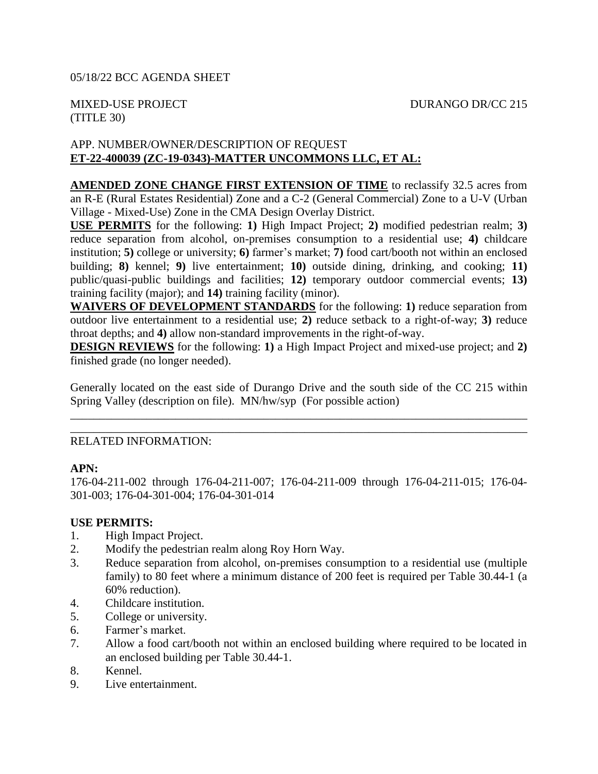# (TITLE 30)

## APP. NUMBER/OWNER/DESCRIPTION OF REQUEST **ET-22-400039 (ZC-19-0343)-MATTER UNCOMMONS LLC, ET AL:**

**AMENDED ZONE CHANGE FIRST EXTENSION OF TIME** to reclassify 32.5 acres from an R-E (Rural Estates Residential) Zone and a C-2 (General Commercial) Zone to a U-V (Urban Village - Mixed-Use) Zone in the CMA Design Overlay District.

**USE PERMITS** for the following: **1)** High Impact Project; **2)** modified pedestrian realm; **3)** reduce separation from alcohol, on-premises consumption to a residential use; **4)** childcare institution; **5)** college or university; **6)** farmer's market; **7)** food cart/booth not within an enclosed building; **8)** kennel; **9)** live entertainment; **10)** outside dining, drinking, and cooking; **11)** public/quasi-public buildings and facilities; **12)** temporary outdoor commercial events; **13)** training facility (major); and **14)** training facility (minor).

**WAIVERS OF DEVELOPMENT STANDARDS** for the following: **1)** reduce separation from outdoor live entertainment to a residential use; **2)** reduce setback to a right-of-way; **3)** reduce throat depths; and **4)** allow non-standard improvements in the right-of-way.

**DESIGN REVIEWS** for the following: **1)** a High Impact Project and mixed-use project; and **2)** finished grade (no longer needed).

Generally located on the east side of Durango Drive and the south side of the CC 215 within Spring Valley (description on file). MN/hw/syp (For possible action)

\_\_\_\_\_\_\_\_\_\_\_\_\_\_\_\_\_\_\_\_\_\_\_\_\_\_\_\_\_\_\_\_\_\_\_\_\_\_\_\_\_\_\_\_\_\_\_\_\_\_\_\_\_\_\_\_\_\_\_\_\_\_\_\_\_\_\_\_\_\_\_\_\_\_\_\_\_\_ \_\_\_\_\_\_\_\_\_\_\_\_\_\_\_\_\_\_\_\_\_\_\_\_\_\_\_\_\_\_\_\_\_\_\_\_\_\_\_\_\_\_\_\_\_\_\_\_\_\_\_\_\_\_\_\_\_\_\_\_\_\_\_\_\_\_\_\_\_\_\_\_\_\_\_\_\_\_

## RELATED INFORMATION:

## **APN:**

176-04-211-002 through 176-04-211-007; 176-04-211-009 through 176-04-211-015; 176-04- 301-003; 176-04-301-004; 176-04-301-014

## **USE PERMITS:**

- 1. High Impact Project.
- 2. Modify the pedestrian realm along Roy Horn Way.
- 3. Reduce separation from alcohol, on-premises consumption to a residential use (multiple family) to 80 feet where a minimum distance of 200 feet is required per Table 30.44-1 (a 60% reduction).
- 4. Childcare institution.
- 5. College or university.
- 6. Farmer's market.
- 7. Allow a food cart/booth not within an enclosed building where required to be located in an enclosed building per Table 30.44-1.
- 8. Kennel.
- 9. Live entertainment.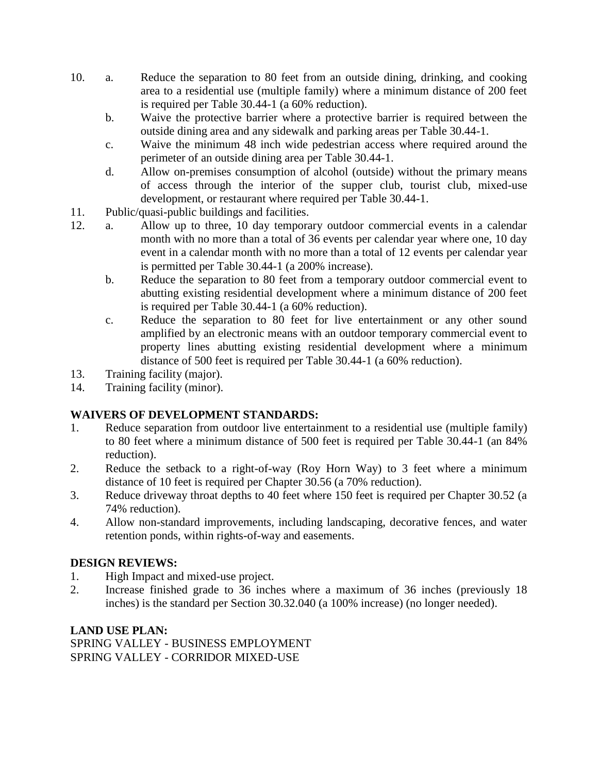- 10. a. Reduce the separation to 80 feet from an outside dining, drinking, and cooking area to a residential use (multiple family) where a minimum distance of 200 feet is required per Table 30.44-1 (a 60% reduction).
	- b. Waive the protective barrier where a protective barrier is required between the outside dining area and any sidewalk and parking areas per Table 30.44-1.
	- c. Waive the minimum 48 inch wide pedestrian access where required around the perimeter of an outside dining area per Table 30.44-1.
	- d. Allow on-premises consumption of alcohol (outside) without the primary means of access through the interior of the supper club, tourist club, mixed-use development, or restaurant where required per Table 30.44-1.
- 11. Public/quasi-public buildings and facilities.
- 12. a. Allow up to three, 10 day temporary outdoor commercial events in a calendar month with no more than a total of 36 events per calendar year where one, 10 day event in a calendar month with no more than a total of 12 events per calendar year is permitted per Table 30.44-1 (a 200% increase).
	- b. Reduce the separation to 80 feet from a temporary outdoor commercial event to abutting existing residential development where a minimum distance of 200 feet is required per Table 30.44-1 (a 60% reduction).
	- c. Reduce the separation to 80 feet for live entertainment or any other sound amplified by an electronic means with an outdoor temporary commercial event to property lines abutting existing residential development where a minimum distance of 500 feet is required per Table 30.44-1 (a 60% reduction).
- 13. Training facility (major).
- 14. Training facility (minor).

# **WAIVERS OF DEVELOPMENT STANDARDS:**

- 1. Reduce separation from outdoor live entertainment to a residential use (multiple family) to 80 feet where a minimum distance of 500 feet is required per Table 30.44-1 (an 84% reduction).
- 2. Reduce the setback to a right-of-way (Roy Horn Way) to 3 feet where a minimum distance of 10 feet is required per Chapter 30.56 (a 70% reduction).
- 3. Reduce driveway throat depths to 40 feet where 150 feet is required per Chapter 30.52 (a 74% reduction).
- 4. Allow non-standard improvements, including landscaping, decorative fences, and water retention ponds, within rights-of-way and easements.

## **DESIGN REVIEWS:**

- 1. High Impact and mixed-use project.
- 2. Increase finished grade to 36 inches where a maximum of 36 inches (previously 18 inches) is the standard per Section 30.32.040 (a 100% increase) (no longer needed).

## **LAND USE PLAN:**

SPRING VALLEY - BUSINESS EMPLOYMENT SPRING VALLEY - CORRIDOR MIXED-USE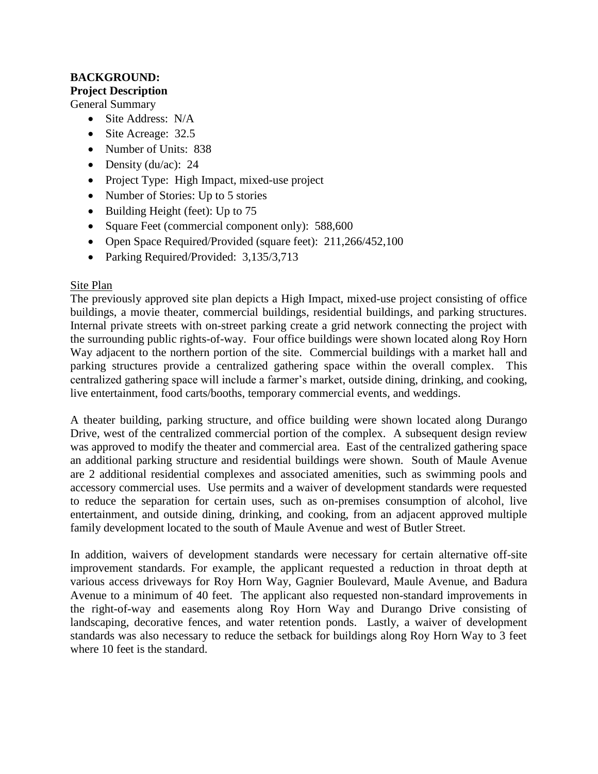# **BACKGROUND: Project Description**

General Summary

- Site Address: N/A
- Site Acreage: 32.5
- Number of Units: 838
- Density (du/ac):  $24$
- Project Type: High Impact, mixed-use project
- Number of Stories: Up to 5 stories
- $\bullet$  Building Height (feet): Up to 75
- Square Feet (commercial component only): 588,600
- Open Space Required/Provided (square feet): 211,266/452,100
- Parking Required/Provided: 3,135/3,713

## Site Plan

The previously approved site plan depicts a High Impact, mixed-use project consisting of office buildings, a movie theater, commercial buildings, residential buildings, and parking structures. Internal private streets with on-street parking create a grid network connecting the project with the surrounding public rights-of-way. Four office buildings were shown located along Roy Horn Way adjacent to the northern portion of the site. Commercial buildings with a market hall and parking structures provide a centralized gathering space within the overall complex. This centralized gathering space will include a farmer's market, outside dining, drinking, and cooking, live entertainment, food carts/booths, temporary commercial events, and weddings.

A theater building, parking structure, and office building were shown located along Durango Drive, west of the centralized commercial portion of the complex. A subsequent design review was approved to modify the theater and commercial area. East of the centralized gathering space an additional parking structure and residential buildings were shown. South of Maule Avenue are 2 additional residential complexes and associated amenities, such as swimming pools and accessory commercial uses. Use permits and a waiver of development standards were requested to reduce the separation for certain uses, such as on-premises consumption of alcohol, live entertainment, and outside dining, drinking, and cooking, from an adjacent approved multiple family development located to the south of Maule Avenue and west of Butler Street.

In addition, waivers of development standards were necessary for certain alternative off-site improvement standards. For example, the applicant requested a reduction in throat depth at various access driveways for Roy Horn Way, Gagnier Boulevard, Maule Avenue, and Badura Avenue to a minimum of 40 feet. The applicant also requested non-standard improvements in the right-of-way and easements along Roy Horn Way and Durango Drive consisting of landscaping, decorative fences, and water retention ponds. Lastly, a waiver of development standards was also necessary to reduce the setback for buildings along Roy Horn Way to 3 feet where 10 feet is the standard.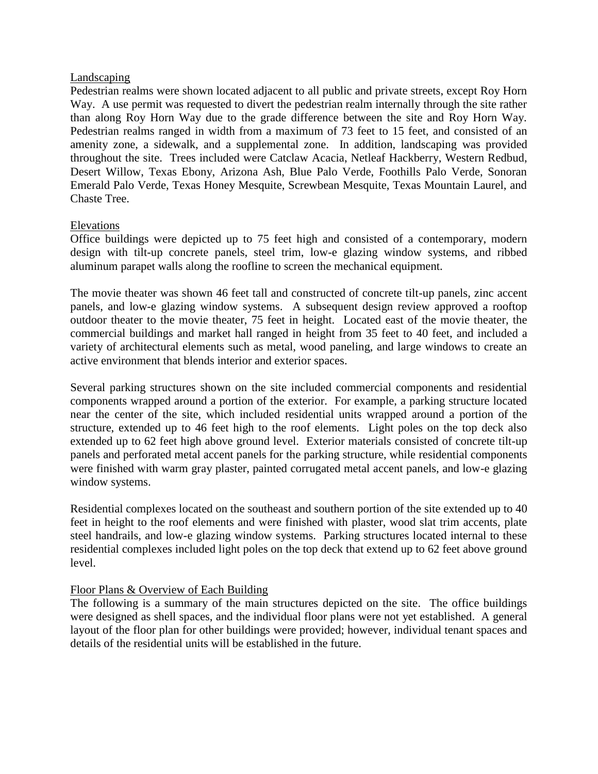## Landscaping

Pedestrian realms were shown located adjacent to all public and private streets, except Roy Horn Way. A use permit was requested to divert the pedestrian realm internally through the site rather than along Roy Horn Way due to the grade difference between the site and Roy Horn Way. Pedestrian realms ranged in width from a maximum of 73 feet to 15 feet, and consisted of an amenity zone, a sidewalk, and a supplemental zone. In addition, landscaping was provided throughout the site. Trees included were Catclaw Acacia, Netleaf Hackberry, Western Redbud, Desert Willow, Texas Ebony, Arizona Ash, Blue Palo Verde, Foothills Palo Verde, Sonoran Emerald Palo Verde, Texas Honey Mesquite, Screwbean Mesquite, Texas Mountain Laurel, and Chaste Tree.

## Elevations

Office buildings were depicted up to 75 feet high and consisted of a contemporary, modern design with tilt-up concrete panels, steel trim, low-e glazing window systems, and ribbed aluminum parapet walls along the roofline to screen the mechanical equipment.

The movie theater was shown 46 feet tall and constructed of concrete tilt-up panels, zinc accent panels, and low-e glazing window systems. A subsequent design review approved a rooftop outdoor theater to the movie theater, 75 feet in height. Located east of the movie theater, the commercial buildings and market hall ranged in height from 35 feet to 40 feet, and included a variety of architectural elements such as metal, wood paneling, and large windows to create an active environment that blends interior and exterior spaces.

Several parking structures shown on the site included commercial components and residential components wrapped around a portion of the exterior. For example, a parking structure located near the center of the site, which included residential units wrapped around a portion of the structure, extended up to 46 feet high to the roof elements. Light poles on the top deck also extended up to 62 feet high above ground level. Exterior materials consisted of concrete tilt-up panels and perforated metal accent panels for the parking structure, while residential components were finished with warm gray plaster, painted corrugated metal accent panels, and low-e glazing window systems.

Residential complexes located on the southeast and southern portion of the site extended up to 40 feet in height to the roof elements and were finished with plaster, wood slat trim accents, plate steel handrails, and low-e glazing window systems. Parking structures located internal to these residential complexes included light poles on the top deck that extend up to 62 feet above ground level.

## Floor Plans & Overview of Each Building

The following is a summary of the main structures depicted on the site. The office buildings were designed as shell spaces, and the individual floor plans were not yet established. A general layout of the floor plan for other buildings were provided; however, individual tenant spaces and details of the residential units will be established in the future.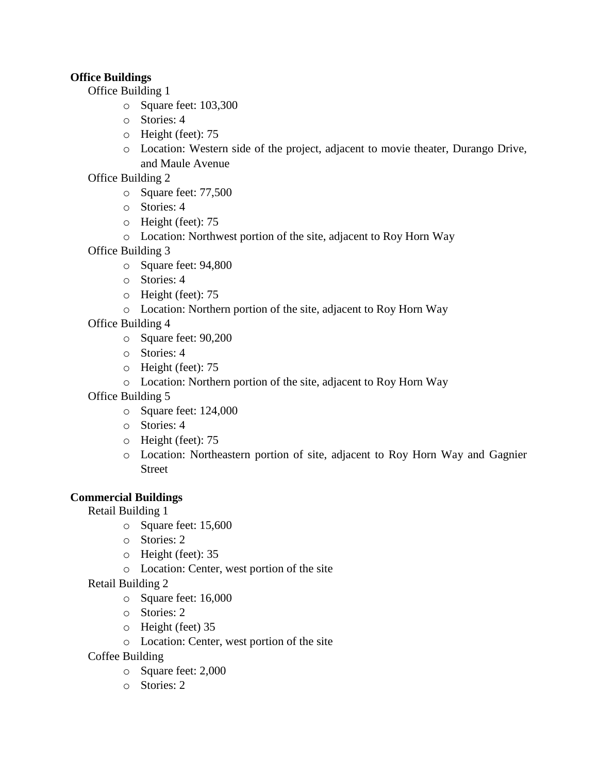# **Office Buildings**

Office Building 1

- o Square feet: 103,300
- o Stories: 4
- o Height (feet): 75
- o Location: Western side of the project, adjacent to movie theater, Durango Drive, and Maule Avenue

Office Building 2

- o Square feet: 77,500
- o Stories: 4
- o Height (feet): 75
- o Location: Northwest portion of the site, adjacent to Roy Horn Way

Office Building 3

- o Square feet: 94,800
- o Stories: 4
- o Height (feet): 75
- o Location: Northern portion of the site, adjacent to Roy Horn Way

Office Building 4

- o Square feet: 90,200
- o Stories: 4
- o Height (feet): 75
- o Location: Northern portion of the site, adjacent to Roy Horn Way

Office Building 5

- o Square feet: 124,000
- o Stories: 4
- o Height (feet): 75
- o Location: Northeastern portion of site, adjacent to Roy Horn Way and Gagnier Street

# **Commercial Buildings**

Retail Building 1

- o Square feet: 15,600
- o Stories: 2
- o Height (feet): 35
- o Location: Center, west portion of the site

Retail Building 2

- o Square feet: 16,000
- o Stories: 2
- o Height (feet) 35
- o Location: Center, west portion of the site
- Coffee Building
	- o Square feet: 2,000
	- o Stories: 2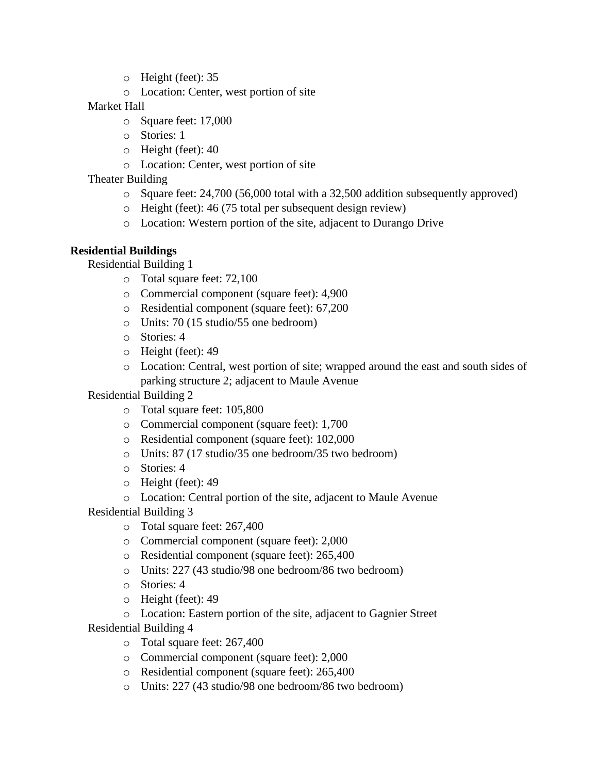- o Height (feet): 35
- o Location: Center, west portion of site

## Market Hall

- o Square feet: 17,000
- o Stories: 1
- o Height (feet): 40
- o Location: Center, west portion of site

# Theater Building

- o Square feet: 24,700 (56,000 total with a 32,500 addition subsequently approved)
- o Height (feet): 46 (75 total per subsequent design review)
- o Location: Western portion of the site, adjacent to Durango Drive

# **Residential Buildings**

Residential Building 1

- o Total square feet: 72,100
- o Commercial component (square feet): 4,900
- o Residential component (square feet): 67,200
- o Units: 70 (15 studio/55 one bedroom)
- o Stories: 4
- o Height (feet): 49
- o Location: Central, west portion of site; wrapped around the east and south sides of parking structure 2; adjacent to Maule Avenue

Residential Building 2

- o Total square feet: 105,800
- o Commercial component (square feet): 1,700
- o Residential component (square feet): 102,000
- o Units: 87 (17 studio/35 one bedroom/35 two bedroom)
- o Stories: 4
- o Height (feet): 49
- o Location: Central portion of the site, adjacent to Maule Avenue

Residential Building 3

- o Total square feet: 267,400
- o Commercial component (square feet): 2,000
- o Residential component (square feet): 265,400
- o Units: 227 (43 studio/98 one bedroom/86 two bedroom)
- o Stories: 4
- o Height (feet): 49
- o Location: Eastern portion of the site, adjacent to Gagnier Street

Residential Building 4

- o Total square feet: 267,400
- o Commercial component (square feet): 2,000
- o Residential component (square feet): 265,400
- o Units: 227 (43 studio/98 one bedroom/86 two bedroom)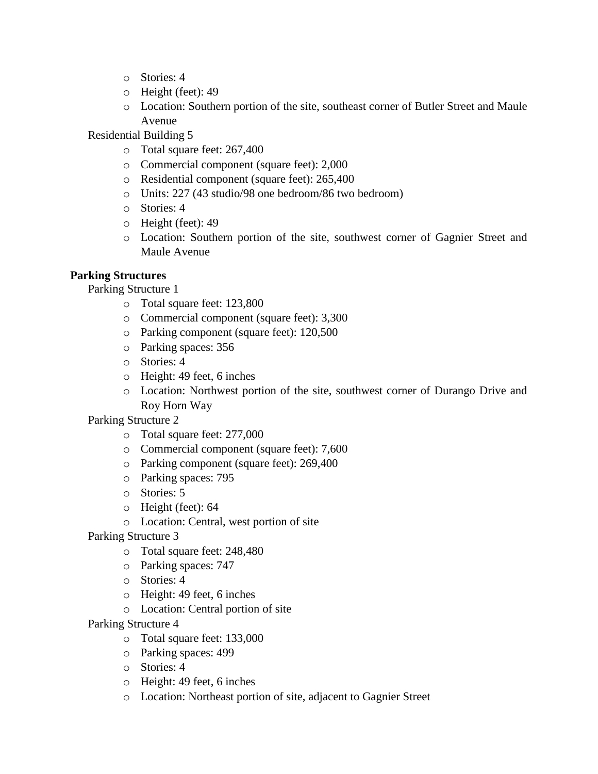- o Stories: 4
- o Height (feet): 49
- o Location: Southern portion of the site, southeast corner of Butler Street and Maule Avenue

Residential Building 5

- o Total square feet: 267,400
- o Commercial component (square feet): 2,000
- o Residential component (square feet): 265,400
- o Units: 227 (43 studio/98 one bedroom/86 two bedroom)
- o Stories: 4
- o Height (feet): 49
- o Location: Southern portion of the site, southwest corner of Gagnier Street and Maule Avenue

## **Parking Structures**

Parking Structure 1

- o Total square feet: 123,800
- o Commercial component (square feet): 3,300
- o Parking component (square feet): 120,500
- o Parking spaces: 356
- o Stories: 4
- o Height: 49 feet, 6 inches
- o Location: Northwest portion of the site, southwest corner of Durango Drive and Roy Horn Way

Parking Structure 2

- o Total square feet: 277,000
- o Commercial component (square feet): 7,600
- o Parking component (square feet): 269,400
- o Parking spaces: 795
- o Stories: 5
- o Height (feet): 64
- o Location: Central, west portion of site
- Parking Structure 3
	- o Total square feet: 248,480
	- o Parking spaces: 747
	- o Stories: 4
	- o Height: 49 feet, 6 inches
	- o Location: Central portion of site

Parking Structure 4

- o Total square feet: 133,000
- o Parking spaces: 499
- o Stories: 4
- o Height: 49 feet, 6 inches
- o Location: Northeast portion of site, adjacent to Gagnier Street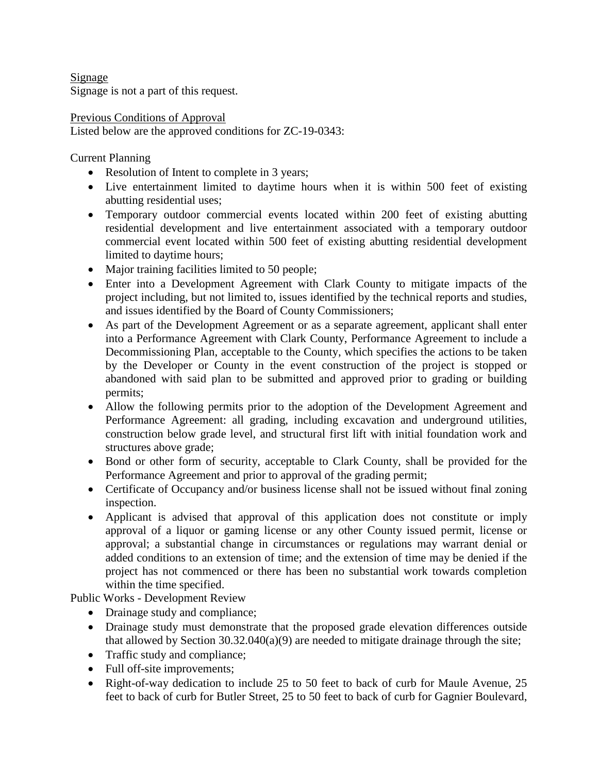Signage Signage is not a part of this request.

Previous Conditions of Approval Listed below are the approved conditions for ZC-19-0343:

Current Planning

- Resolution of Intent to complete in 3 years;
- Live entertainment limited to daytime hours when it is within 500 feet of existing abutting residential uses;
- Temporary outdoor commercial events located within 200 feet of existing abutting residential development and live entertainment associated with a temporary outdoor commercial event located within 500 feet of existing abutting residential development limited to daytime hours;
- Major training facilities limited to 50 people;
- Enter into a Development Agreement with Clark County to mitigate impacts of the project including, but not limited to, issues identified by the technical reports and studies, and issues identified by the Board of County Commissioners;
- As part of the Development Agreement or as a separate agreement, applicant shall enter into a Performance Agreement with Clark County, Performance Agreement to include a Decommissioning Plan, acceptable to the County, which specifies the actions to be taken by the Developer or County in the event construction of the project is stopped or abandoned with said plan to be submitted and approved prior to grading or building permits;
- Allow the following permits prior to the adoption of the Development Agreement and Performance Agreement: all grading, including excavation and underground utilities, construction below grade level, and structural first lift with initial foundation work and structures above grade;
- Bond or other form of security, acceptable to Clark County, shall be provided for the Performance Agreement and prior to approval of the grading permit;
- Certificate of Occupancy and/or business license shall not be issued without final zoning inspection.
- Applicant is advised that approval of this application does not constitute or imply approval of a liquor or gaming license or any other County issued permit, license or approval; a substantial change in circumstances or regulations may warrant denial or added conditions to an extension of time; and the extension of time may be denied if the project has not commenced or there has been no substantial work towards completion within the time specified.

Public Works - Development Review

- Drainage study and compliance;
- Drainage study must demonstrate that the proposed grade elevation differences outside that allowed by Section  $30.32.040(a)(9)$  are needed to mitigate drainage through the site;
- Traffic study and compliance;
- Full off-site improvements;
- Right-of-way dedication to include 25 to 50 feet to back of curb for Maule Avenue, 25 feet to back of curb for Butler Street, 25 to 50 feet to back of curb for Gagnier Boulevard,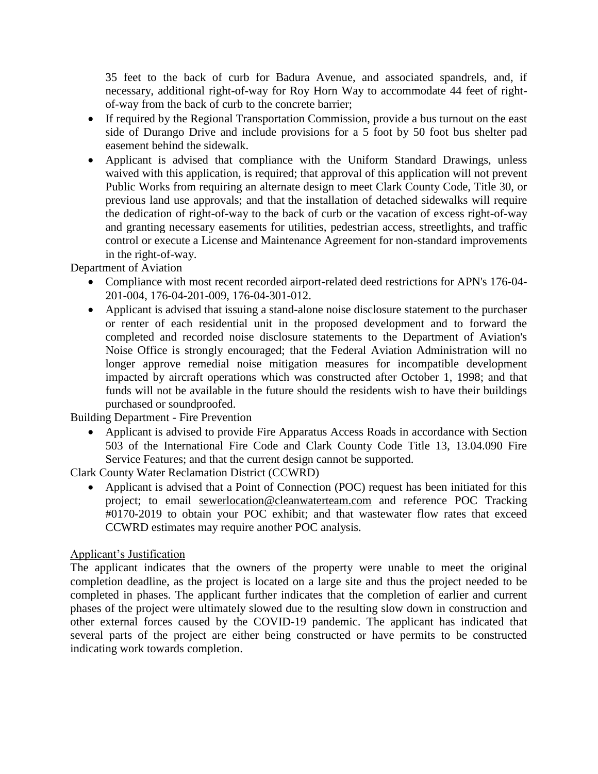35 feet to the back of curb for Badura Avenue, and associated spandrels, and, if necessary, additional right-of-way for Roy Horn Way to accommodate 44 feet of rightof-way from the back of curb to the concrete barrier;

- If required by the Regional Transportation Commission, provide a bus turnout on the east side of Durango Drive and include provisions for a 5 foot by 50 foot bus shelter pad easement behind the sidewalk.
- Applicant is advised that compliance with the Uniform Standard Drawings, unless waived with this application, is required; that approval of this application will not prevent Public Works from requiring an alternate design to meet Clark County Code, Title 30, or previous land use approvals; and that the installation of detached sidewalks will require the dedication of right-of-way to the back of curb or the vacation of excess right-of-way and granting necessary easements for utilities, pedestrian access, streetlights, and traffic control or execute a License and Maintenance Agreement for non-standard improvements in the right-of-way.

Department of Aviation

- Compliance with most recent recorded airport-related deed restrictions for APN's 176-04- 201-004, 176-04-201-009, 176-04-301-012.
- Applicant is advised that issuing a stand-alone noise disclosure statement to the purchaser or renter of each residential unit in the proposed development and to forward the completed and recorded noise disclosure statements to the Department of Aviation's Noise Office is strongly encouraged; that the Federal Aviation Administration will no longer approve remedial noise mitigation measures for incompatible development impacted by aircraft operations which was constructed after October 1, 1998; and that funds will not be available in the future should the residents wish to have their buildings purchased or soundproofed.

Building Department - Fire Prevention

 Applicant is advised to provide Fire Apparatus Access Roads in accordance with Section 503 of the International Fire Code and Clark County Code Title 13, 13.04.090 Fire Service Features; and that the current design cannot be supported.

Clark County Water Reclamation District (CCWRD)

• Applicant is advised that a Point of Connection (POC) request has been initiated for this project; to email [sewerlocation@cleanwaterteam.com](mailto:sewerlocation@cleanwaterteam.com) and reference POC Tracking #0170-2019 to obtain your POC exhibit; and that wastewater flow rates that exceed CCWRD estimates may require another POC analysis.

## Applicant's Justification

The applicant indicates that the owners of the property were unable to meet the original completion deadline, as the project is located on a large site and thus the project needed to be completed in phases. The applicant further indicates that the completion of earlier and current phases of the project were ultimately slowed due to the resulting slow down in construction and other external forces caused by the COVID-19 pandemic. The applicant has indicated that several parts of the project are either being constructed or have permits to be constructed indicating work towards completion.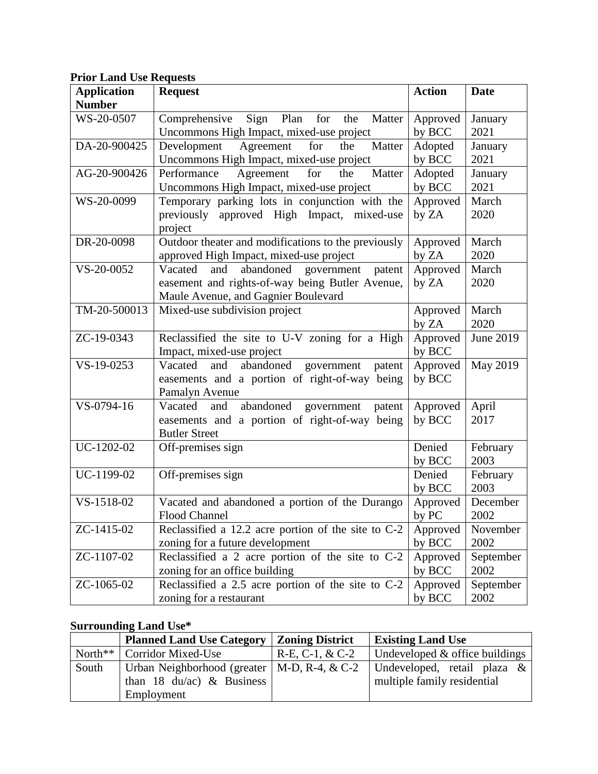|  |  |  |  | <b>Prior Land Use Requests</b> |
|--|--|--|--|--------------------------------|
|--|--|--|--|--------------------------------|

| <b>Application</b> | <b>Request</b>                                                  | <b>Action</b>      | <b>Date</b>   |
|--------------------|-----------------------------------------------------------------|--------------------|---------------|
| <b>Number</b>      |                                                                 |                    |               |
| WS-20-0507         | Sign<br>Plan<br>for<br>Comprehensive<br>the<br>Matter           | Approved           | January       |
|                    | Uncommons High Impact, mixed-use project                        | by BCC             | 2021          |
| DA-20-900425       | Agreement<br>the<br>Matter<br>Development<br>for                | Adopted            | January       |
|                    | Uncommons High Impact, mixed-use project                        | by BCC             | 2021          |
| AG-20-900426       | Matter<br>for<br>Agreement<br>Performance<br>the                | Adopted            | January       |
|                    | Uncommons High Impact, mixed-use project                        | by BCC             | 2021          |
| WS-20-0099         | Temporary parking lots in conjunction with the                  | Approved           | March         |
|                    | previously approved High Impact, mixed-use                      | by ZA              | 2020          |
|                    | project                                                         |                    |               |
| DR-20-0098         | Outdoor theater and modifications to the previously             | Approved           | March         |
|                    | approved High Impact, mixed-use project                         | by ZA              | 2020          |
| VS-20-0052         | abandoned<br>Vacated<br>and<br>government<br>patent             | Approved           | March         |
|                    | easement and rights-of-way being Butler Avenue,                 | by ZA              | 2020          |
|                    | Maule Avenue, and Gagnier Boulevard                             |                    |               |
| TM-20-500013       | Mixed-use subdivision project                                   | Approved           | March         |
|                    |                                                                 | by ZA              | 2020          |
| ZC-19-0343         | Reclassified the site to U-V zoning for a High                  | Approved           | June 2019     |
|                    | Impact, mixed-use project                                       | by BCC             |               |
| VS-19-0253         | Vacated<br>abandoned<br>government<br>and<br>patent             | Approved           | May 2019      |
|                    | easements and a portion of right-of-way being                   | by BCC             |               |
| VS-0794-16         | Pamalyn Avenue<br>Vacated<br>abandoned government patent<br>and | Approved           |               |
|                    | easements and a portion of right-of-way being                   | by BCC             | April<br>2017 |
|                    | <b>Butler Street</b>                                            |                    |               |
| UC-1202-02         | Off-premises sign                                               | Denied             | February      |
|                    |                                                                 | by BCC             | 2003          |
| UC-1199-02         | Off-premises sign                                               | Denied             | February      |
|                    |                                                                 | by BCC             | 2003          |
| VS-1518-02         | Vacated and abandoned a portion of the Durango                  | Approved           | December      |
|                    | Flood Channel                                                   | by PC              | 2002          |
| ZC-1415-02         | Reclassified a $12.2$ acre portion of the site to $C-2$         |                    | November      |
|                    | zoning for a future development                                 | Approved<br>by BCC | 2002          |
| ZC-1107-02         | Reclassified a 2 acre portion of the site to C-2                | Approved           | September     |
|                    | zoning for an office building                                   | by BCC             | 2002          |
| ZC-1065-02         | Reclassified a 2.5 acre portion of the site to $C-2$            | Approved           | September     |
|                    | zoning for a restaurant                                         | by BCC             | 2002          |

# **Surrounding Land Use\***

|            | <b>Planned Land Use Category</b>               | <b>Zoning District</b> | <b>Existing Land Use</b>         |
|------------|------------------------------------------------|------------------------|----------------------------------|
| North $**$ | <b>Corridor Mixed-Use</b>                      | $R-E, C-1, & C-2$      | Undeveloped $&$ office buildings |
| South      | Urban Neighborhood (greater   M-D, R-4, $&C-2$ |                        | Undeveloped, retail plaza &      |
|            | than 18 $du/ac$ ) & Business                   |                        | multiple family residential      |
|            | Employment                                     |                        |                                  |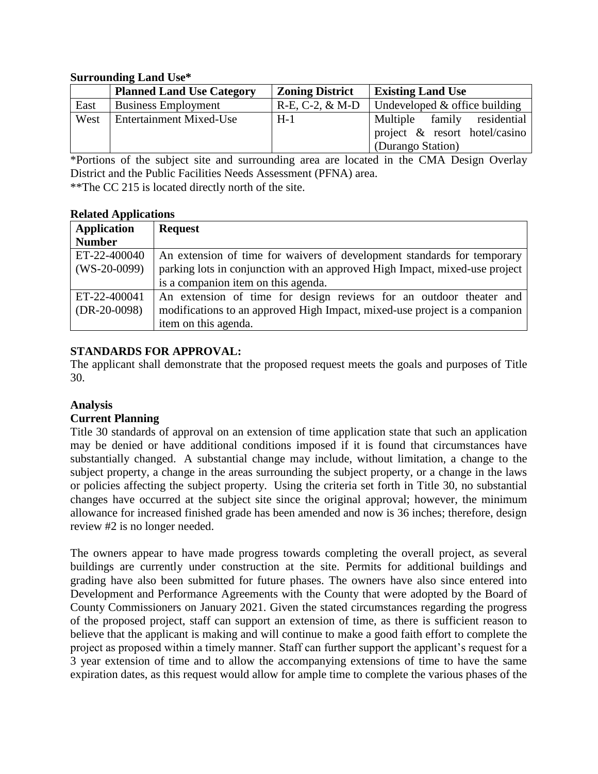## **Surrounding Land Use\***

|      | <b>Planned Land Use Category</b> | <b>Zoning District</b> | <b>Existing Land Use</b>          |
|------|----------------------------------|------------------------|-----------------------------------|
| East | <b>Business Employment</b>       | $R-E, C-2, \& M-D$     | I Undeveloped $&$ office building |
| West | <b>Entertainment Mixed-Use</b>   | $H-1$                  | Multiple family residential       |
|      |                                  |                        | project & resort hotel/casino     |
|      |                                  |                        | (Durango Station)                 |

\*Portions of the subject site and surrounding area are located in the CMA Design Overlay District and the Public Facilities Needs Assessment (PFNA) area. \*\*The CC 215 is located directly north of the site.

## **Related Applications**

| <b>Application</b> | <b>Request</b>                                                              |
|--------------------|-----------------------------------------------------------------------------|
| <b>Number</b>      |                                                                             |
| ET-22-400040       | An extension of time for waivers of development standards for temporary     |
| $(WS-20-0099)$     | parking lots in conjunction with an approved High Impact, mixed-use project |
|                    | is a companion item on this agenda.                                         |
| ET-22-400041       | An extension of time for design reviews for an outdoor theater and          |
| $(DR-20-0098)$     | modifications to an approved High Impact, mixed-use project is a companion  |
|                    | item on this agenda.                                                        |

## **STANDARDS FOR APPROVAL:**

The applicant shall demonstrate that the proposed request meets the goals and purposes of Title 30.

## **Analysis**

## **Current Planning**

Title 30 standards of approval on an extension of time application state that such an application may be denied or have additional conditions imposed if it is found that circumstances have substantially changed. A substantial change may include, without limitation, a change to the subject property, a change in the areas surrounding the subject property, or a change in the laws or policies affecting the subject property. Using the criteria set forth in Title 30, no substantial changes have occurred at the subject site since the original approval; however, the minimum allowance for increased finished grade has been amended and now is 36 inches; therefore, design review #2 is no longer needed.

The owners appear to have made progress towards completing the overall project, as several buildings are currently under construction at the site. Permits for additional buildings and grading have also been submitted for future phases. The owners have also since entered into Development and Performance Agreements with the County that were adopted by the Board of County Commissioners on January 2021. Given the stated circumstances regarding the progress of the proposed project, staff can support an extension of time, as there is sufficient reason to believe that the applicant is making and will continue to make a good faith effort to complete the project as proposed within a timely manner. Staff can further support the applicant's request for a 3 year extension of time and to allow the accompanying extensions of time to have the same expiration dates, as this request would allow for ample time to complete the various phases of the